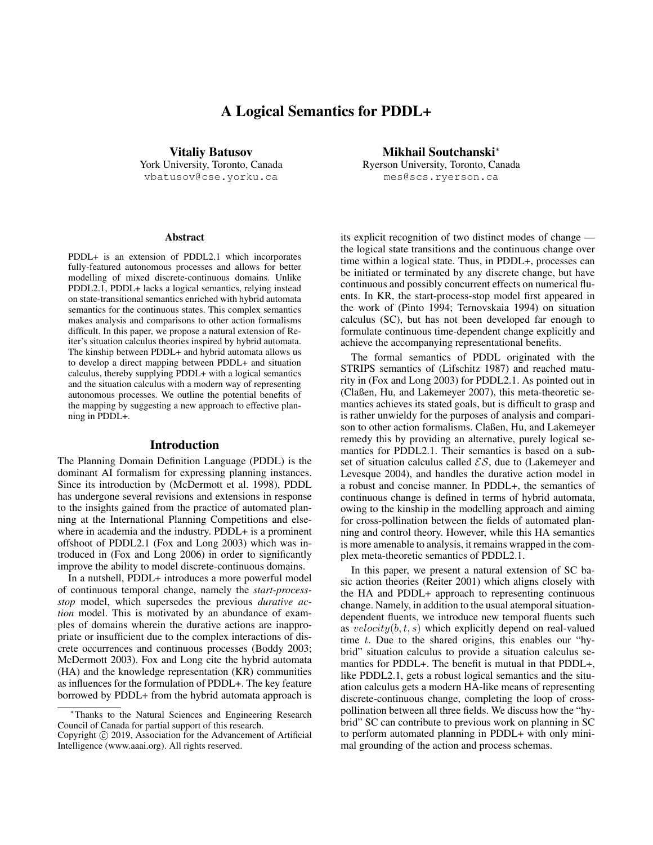# A Logical Semantics for PDDL+

Vitaliy Batusov York University, Toronto, Canada vbatusov@cse.yorku.ca

#### **Abstract**

PDDL+ is an extension of PDDL2.1 which incorporates fully-featured autonomous processes and allows for better modelling of mixed discrete-continuous domains. Unlike PDDL2.1, PDDL+ lacks a logical semantics, relying instead on state-transitional semantics enriched with hybrid automata semantics for the continuous states. This complex semantics makes analysis and comparisons to other action formalisms difficult. In this paper, we propose a natural extension of Reiter's situation calculus theories inspired by hybrid automata. The kinship between PDDL+ and hybrid automata allows us to develop a direct mapping between PDDL+ and situation calculus, thereby supplying PDDL+ with a logical semantics and the situation calculus with a modern way of representing autonomous processes. We outline the potential benefits of the mapping by suggesting a new approach to effective planning in PDDL+.

### Introduction

The Planning Domain Definition Language (PDDL) is the dominant AI formalism for expressing planning instances. Since its introduction by (McDermott et al. 1998), PDDL has undergone several revisions and extensions in response to the insights gained from the practice of automated planning at the International Planning Competitions and elsewhere in academia and the industry. PDDL+ is a prominent offshoot of PDDL2.1 (Fox and Long 2003) which was introduced in (Fox and Long 2006) in order to significantly improve the ability to model discrete-continuous domains.

In a nutshell, PDDL+ introduces a more powerful model of continuous temporal change, namely the *start-processstop* model, which supersedes the previous *durative action* model. This is motivated by an abundance of examples of domains wherein the durative actions are inappropriate or insufficient due to the complex interactions of discrete occurrences and continuous processes (Boddy 2003; McDermott 2003). Fox and Long cite the hybrid automata (HA) and the knowledge representation (KR) communities as influences for the formulation of PDDL+. The key feature borrowed by PDDL+ from the hybrid automata approach is

Mikhail Soutchanski<sup>∗</sup> Ryerson University, Toronto, Canada mes@scs.ryerson.ca

its explicit recognition of two distinct modes of change the logical state transitions and the continuous change over time within a logical state. Thus, in PDDL+, processes can be initiated or terminated by any discrete change, but have continuous and possibly concurrent effects on numerical fluents. In KR, the start-process-stop model first appeared in the work of (Pinto 1994; Ternovskaia 1994) on situation calculus (SC), but has not been developed far enough to formulate continuous time-dependent change explicitly and achieve the accompanying representational benefits.

The formal semantics of PDDL originated with the STRIPS semantics of (Lifschitz 1987) and reached maturity in (Fox and Long 2003) for PDDL2.1. As pointed out in (Claßen, Hu, and Lakemeyer 2007), this meta-theoretic semantics achieves its stated goals, but is difficult to grasp and is rather unwieldy for the purposes of analysis and comparison to other action formalisms. Claßen, Hu, and Lakemeyer remedy this by providing an alternative, purely logical semantics for PDDL2.1. Their semantics is based on a subset of situation calculus called  $\mathcal{ES}$ , due to (Lakemeyer and Levesque 2004), and handles the durative action model in a robust and concise manner. In PDDL+, the semantics of continuous change is defined in terms of hybrid automata, owing to the kinship in the modelling approach and aiming for cross-pollination between the fields of automated planning and control theory. However, while this HA semantics is more amenable to analysis, it remains wrapped in the complex meta-theoretic semantics of PDDL2.1.

In this paper, we present a natural extension of SC basic action theories (Reiter 2001) which aligns closely with the HA and PDDL+ approach to representing continuous change. Namely, in addition to the usual atemporal situationdependent fluents, we introduce new temporal fluents such as  $velocity(b, t, s)$  which explicitly depend on real-valued time t. Due to the shared origins, this enables our "hybrid" situation calculus to provide a situation calculus semantics for PDDL+. The benefit is mutual in that PDDL+, like PDDL2.1, gets a robust logical semantics and the situation calculus gets a modern HA-like means of representing discrete-continuous change, completing the loop of crosspollination between all three fields. We discuss how the "hybrid" SC can contribute to previous work on planning in SC to perform automated planning in PDDL+ with only minimal grounding of the action and process schemas.

<sup>∗</sup>Thanks to the Natural Sciences and Engineering Research Council of Canada for partial support of this research.

Copyright © 2019, Association for the Advancement of Artificial Intelligence (www.aaai.org). All rights reserved.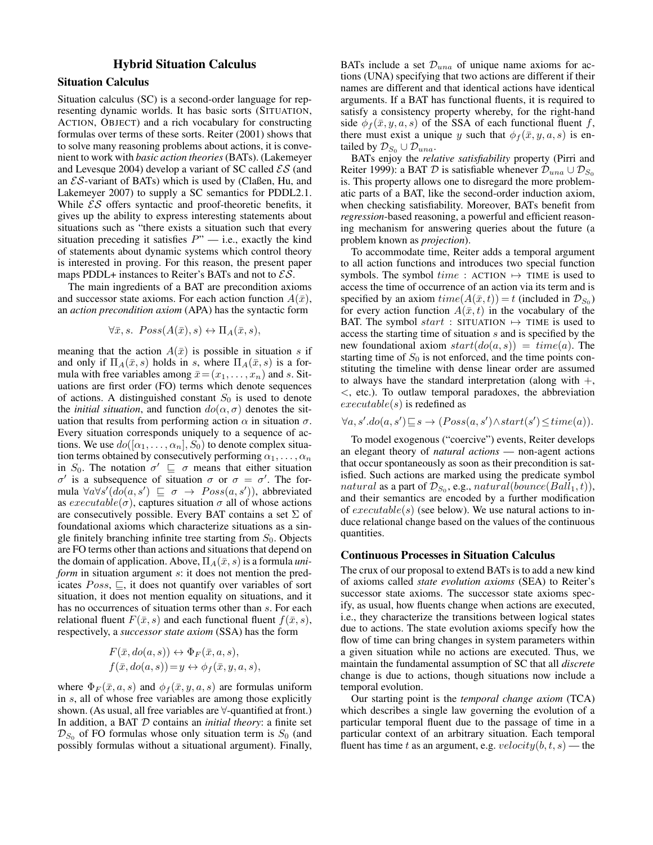# Hybrid Situation Calculus

# Situation Calculus

Situation calculus (SC) is a second-order language for representing dynamic worlds. It has basic sorts (SITUATION, ACTION, OBJECT) and a rich vocabulary for constructing formulas over terms of these sorts. Reiter (2001) shows that to solve many reasoning problems about actions, it is convenient to work with *basic action theories*(BATs). (Lakemeyer and Levesque 2004) develop a variant of SC called  $\mathcal{ES}$  (and an  $\mathcal{ES}\text{-variant of BATs}$ ) which is used by (Claßen, Hu, and Lakemeyer 2007) to supply a SC semantics for PDDL2.1. While  $\mathcal{ES}$  offers syntactic and proof-theoretic benefits, it gives up the ability to express interesting statements about situations such as "there exists a situation such that every situation preceding it satisfies  $P''$  — i.e., exactly the kind of statements about dynamic systems which control theory is interested in proving. For this reason, the present paper maps PDDL+ instances to Reiter's BATs and not to  $\mathcal{ES}$ .

The main ingredients of a BAT are precondition axioms and successor state axioms. For each action function  $A(\bar{x})$ , an *action precondition axiom* (APA) has the syntactic form

$$
\forall \bar{x}, s. \; Poss(A(\bar{x}), s) \leftrightarrow \Pi_A(\bar{x}, s),
$$

meaning that the action  $A(\bar{x})$  is possible in situation s if and only if  $\Pi_A(\bar{x}, s)$  holds in s, where  $\Pi_A(\bar{x}, s)$  is a formula with free variables among  $\bar{x} = (x_1, \ldots, x_n)$  and s. Situations are first order (FO) terms which denote sequences of actions. A distinguished constant  $S_0$  is used to denote the *initial situation*, and function  $do(\alpha, \sigma)$  denotes the situation that results from performing action  $\alpha$  in situation  $\sigma$ . Every situation corresponds uniquely to a sequence of actions. We use  $do([\alpha_1, \ldots, \alpha_n], S_0)$  to denote complex situation terms obtained by consecutively performing  $\alpha_1, \ldots, \alpha_n$ in  $S_0$ . The notation  $\sigma' \subseteq \sigma$  means that either situation  $\sigma'$  is a subsequence of situation  $\sigma$  or  $\sigma = \sigma'$ . The formula  $\forall a \forall s' (d\tilde{o}(a, s') \sqsubseteq \sigma \rightarrow Poss(a, s'))$ , abbreviated as  $execute(\sigma)$ , captures situation  $\sigma$  all of whose actions are consecutively possible. Every BAT contains a set  $\Sigma$  of foundational axioms which characterize situations as a single finitely branching infinite tree starting from  $S_0$ . Objects are FO terms other than actions and situations that depend on the domain of application. Above,  $\Pi_A(\bar{x}, s)$  is a formula *uniform* in situation argument s: it does not mention the predicates  $Poss$ ,  $\sqsubseteq$ , it does not quantify over variables of sort situation, it does not mention equality on situations, and it has no occurrences of situation terms other than s. For each relational fluent  $F(\bar{x}, s)$  and each functional fluent  $f(\bar{x}, s)$ , respectively, a *successor state axiom* (SSA) has the form

$$
F(\bar{x}, do(a, s)) \leftrightarrow \Phi_F(\bar{x}, a, s),
$$
  

$$
f(\bar{x}, do(a, s)) = y \leftrightarrow \phi_f(\bar{x}, y, a, s),
$$

where  $\Phi_F(\bar{x}, a, s)$  and  $\phi_f(\bar{x}, y, a, s)$  are formulas uniform in s, all of whose free variables are among those explicitly shown. (As usual, all free variables are ∀-quantified at front.) In addition, a BAT D contains an *initial theory*: a finite set  $\mathcal{D}_{S_0}$  of FO formulas whose only situation term is  $S_0$  (and possibly formulas without a situational argument). Finally,

BATs include a set  $\mathcal{D}_{una}$  of unique name axioms for actions (UNA) specifying that two actions are different if their names are different and that identical actions have identical arguments. If a BAT has functional fluents, it is required to satisfy a consistency property whereby, for the right-hand side  $\phi_f(\bar{x}, y, a, s)$  of the SSA of each functional fluent f, there must exist a unique y such that  $\phi_f(\bar{x}, y, a, s)$  is entailed by  $\mathcal{D}_{S_0} \cup \mathcal{D}_{una}$ .

BATs enjoy the *relative satisfiability* property (Pirri and Reiter 1999): a BAT  $\mathcal D$  is satisfiable whenever  $\mathcal D_{una} \cup \mathcal D_{S_0}$ is. This property allows one to disregard the more problematic parts of a BAT, like the second-order induction axiom, when checking satisfiability. Moreover, BATs benefit from *regression*-based reasoning, a powerful and efficient reasoning mechanism for answering queries about the future (a problem known as *projection*).

To accommodate time, Reiter adds a temporal argument to all action functions and introduces two special function symbols. The symbol  $time$ : ACTION  $\mapsto$  TIME is used to access the time of occurrence of an action via its term and is specified by an axiom  $time(A(\bar{x}, t)) = t$  (included in  $\mathcal{D}_{S_0}$ ) for every action function  $A(\bar{x}, t)$  in the vocabulary of the BAT. The symbol  $start$ : SITUATION  $\mapsto$  TIME is used to access the starting time of situation s and is specified by the new foundational axiom  $start(do(a, s)) = time(a)$ . The starting time of  $S_0$  is not enforced, and the time points constituting the timeline with dense linear order are assumed to always have the standard interpretation (along with  $+,$ <, etc.). To outlaw temporal paradoxes, the abbreviation  $execute(s)$  is redefined as

$$
\forall a, s'.do(a, s') \sqsubseteq s \rightarrow (Poss(a, s') \land start(s') \leq time(a)).
$$

To model exogenous ("coercive") events, Reiter develops an elegant theory of *natural actions* — non-agent actions that occur spontaneously as soon as their precondition is satisfied. Such actions are marked using the predicate symbol  $natural$  as a part of  $\mathcal{D}_{S_0},$  e.g.,  $natural(bounce(Ball_1, t)),$ and their semantics are encoded by a further modification of  $execute(s)$  (see below). We use natural actions to induce relational change based on the values of the continuous quantities.

#### Continuous Processes in Situation Calculus

The crux of our proposal to extend BATs is to add a new kind of axioms called *state evolution axioms* (SEA) to Reiter's successor state axioms. The successor state axioms specify, as usual, how fluents change when actions are executed, i.e., they characterize the transitions between logical states due to actions. The state evolution axioms specify how the flow of time can bring changes in system parameters within a given situation while no actions are executed. Thus, we maintain the fundamental assumption of SC that all *discrete* change is due to actions, though situations now include a temporal evolution.

Our starting point is the *temporal change axiom* (TCA) which describes a single law governing the evolution of a particular temporal fluent due to the passage of time in a particular context of an arbitrary situation. Each temporal fluent has time t as an argument, e.g.  $velocity(b, t, s)$  — the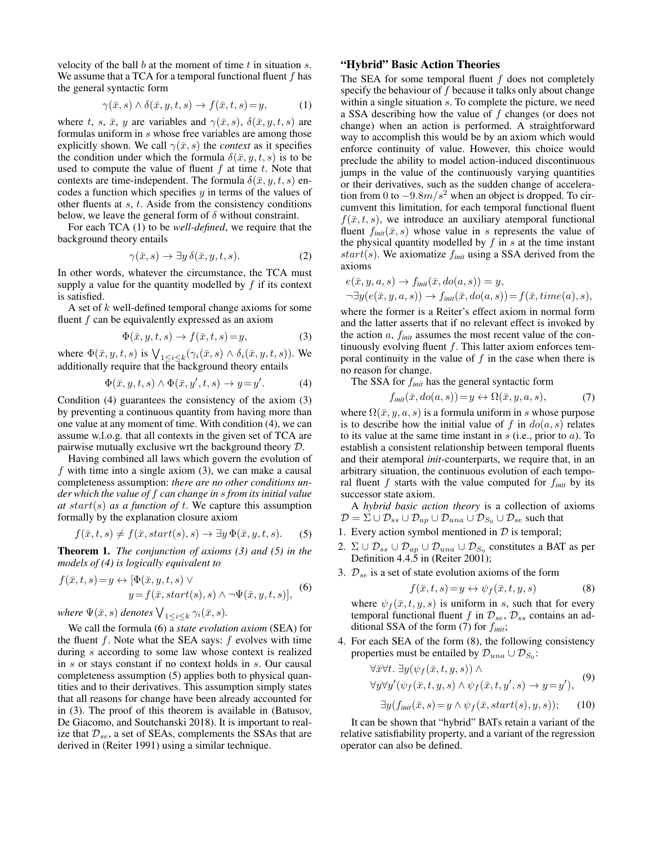velocity of the ball  $b$  at the moment of time  $t$  in situation  $s$ . We assume that a TCA for a temporal functional fluent  $f$  has the general syntactic form

$$
\gamma(\bar{x}, s) \land \delta(\bar{x}, y, t, s) \to f(\bar{x}, t, s) = y,\tag{1}
$$

where t, s,  $\bar{x}$ , y are variables and  $\gamma(\bar{x}, s)$ ,  $\delta(\bar{x}, y, t, s)$  are formulas uniform in s whose free variables are among those explicitly shown. We call  $\gamma(\bar{x}, s)$  the *context* as it specifies the condition under which the formula  $\delta(\bar{x}, y, t, s)$  is to be used to compute the value of fluent  $f$  at time  $t$ . Note that contexts are time-independent. The formula  $\delta(\bar{x}, y, t, s)$  encodes a function which specifies  $y$  in terms of the values of other fluents at  $s$ ,  $t$ . Aside from the consistency conditions below, we leave the general form of  $\delta$  without constraint.

For each TCA (1) to be *well-defined*, we require that the background theory entails

$$
\gamma(\bar{x}, s) \to \exists y \, \delta(\bar{x}, y, t, s). \tag{2}
$$

In other words, whatever the circumstance, the TCA must supply a value for the quantity modelled by  $f$  if its context is satisfied.

A set of k well-defined temporal change axioms for some fluent  $f$  can be equivalently expressed as an axiom

$$
\Phi(\bar{x}, y, t, s) \to f(\bar{x}, t, s) = y,\tag{3}
$$

where  $\Phi(\bar{x}, y, t, s)$  is  $\bigvee_{1 \leq i \leq k} (\gamma_i(\bar{x}, s) \wedge \delta_i(\bar{x}, y, t, s))$ . We additionally require that the background theory entails

$$
\Phi(\bar{x}, y, t, s) \land \Phi(\bar{x}, y', t, s) \to y = y'. \tag{4}
$$

Condition (4) guarantees the consistency of the axiom (3) by preventing a continuous quantity from having more than one value at any moment of time. With condition (4), we can assume w.l.o.g. that all contexts in the given set of TCA are pairwise mutually exclusive wrt the background theory D.

Having combined all laws which govern the evolution of f with time into a single axiom  $(3)$ , we can make a causal completeness assumption: *there are no other conditions under which the value of* f *can change in* s *from its initial value*  $at start(s)$  *as a function of t*. We capture this assumption formally by the explanation closure axiom

$$
f(\bar{x}, t, s) \neq f(\bar{x}, start(s), s) \rightarrow \exists y \, \Phi(\bar{x}, y, t, s). \tag{5}
$$

Theorem 1. *The conjunction of axioms (3) and (5) in the models of (4) is logically equivalent to*

$$
f(\bar{x}, t, s) = y \leftrightarrow [\Phi(\bar{x}, y, t, s) \lor \ny = f(\bar{x}, start(s), s) \land \neg \Psi(\bar{x}, y, t, s)],
$$
(6)

where  $\Psi(\bar{x},s)$  denotes  $\bigvee_{1\leq i\leq k}\gamma_i(\bar{x},s)$ .

We call the formula (6) a *state evolution axiom* (SEA) for the fluent  $f$ . Note what the SEA says:  $f$  evolves with time during s according to some law whose context is realized in s or stays constant if no context holds in s. Our causal completeness assumption (5) applies both to physical quantities and to their derivatives. This assumption simply states that all reasons for change have been already accounted for in (3). The proof of this theorem is available in (Batusov, De Giacomo, and Soutchanski 2018). It is important to realize that  $\mathcal{D}_{se}$ , a set of SEAs, complements the SSAs that are derived in (Reiter 1991) using a similar technique.

# "Hybrid" Basic Action Theories

The SEA for some temporal fluent  $f$  does not completely specify the behaviour of  $f$  because it talks only about change within a single situation s. To complete the picture, we need a SSA describing how the value of f changes (or does not change) when an action is performed. A straightforward way to accomplish this would be by an axiom which would enforce continuity of value. However, this choice would preclude the ability to model action-induced discontinuous jumps in the value of the continuously varying quantities or their derivatives, such as the sudden change of acceleration from 0 to  $-9.8m/s^2$  when an object is dropped. To circumvent this limitation, for each temporal functional fluent  $f(\bar{x}, t, s)$ , we introduce an auxiliary atemporal functional fluent  $f_{init}(\bar{x}, s)$  whose value in s represents the value of the physical quantity modelled by  $f$  in  $s$  at the time instant  $start(s)$ . We axiomatize  $f_{init}$  using a SSA derived from the axioms

$$
e(\bar{x}, y, a, s) \rightarrow f_{init}(\bar{x}, do(a, s)) = y,
$$
  
\n
$$
\neg \exists y (e(\bar{x}, y, a, s)) \rightarrow f_{init}(\bar{x}, do(a, s)) = f(\bar{x}, time(a), s),
$$

where the former is a Reiter's effect axiom in normal form and the latter asserts that if no relevant effect is invoked by the action a, f*init* assumes the most recent value of the continuously evolving fluent  $f$ . This latter axiom enforces temporal continuity in the value of  $f$  in the case when there is no reason for change.

The SSA for f*init* has the general syntactic form

$$
f_{\text{init}}(\bar{x}, \text{do}(a, s)) = y \leftrightarrow \Omega(\bar{x}, y, a, s), \tag{7}
$$

where  $\Omega(\bar{x}, y, a, s)$  is a formula uniform in s whose purpose is to describe how the initial value of f in  $do(a, s)$  relates to its value at the same time instant in  $s$  (i.e., prior to  $a$ ). To establish a consistent relationship between temporal fluents and their atemporal *init*-counterparts, we require that, in an arbitrary situation, the continuous evolution of each temporal fluent  $f$  starts with the value computed for  $f_{init}$  by its successor state axiom.

A *hybrid basic action theory* is a collection of axioms  $\mathcal{D} = \Sigma \cup \mathcal{D}_{ss} \cup \mathcal{D}_{ap} \cup \mathcal{D}_{una} \cup \mathcal{D}_{S_0} \cup \mathcal{D}_{se}$  such that

- 1. Every action symbol mentioned in  $D$  is temporal;
- 2.  $\Sigma \cup \mathcal{D}_{ss} \cup \mathcal{D}_{ap} \cup \mathcal{D}_{una} \cup \mathcal{D}_{S_0}$  constitutes a BAT as per Definition 4.4.5 in (Reiter 2001);
- 3.  $\mathcal{D}_{se}$  is a set of state evolution axioms of the form

$$
f(\bar{x}, t, s) = y \leftrightarrow \psi_f(\bar{x}, t, y, s)
$$
 (8)

where  $\psi_f(\bar{x}, t, y, s)$  is uniform in s, such that for every temporal functional fluent f in  $\mathcal{D}_{se}$ ,  $\mathcal{D}_{ss}$  contains an additional SSA of the form (7) for f*init*;

4. For each SEA of the form (8), the following consistency properties must be entailed by  $\mathcal{D}_{una} \cup \mathcal{D}_{S_0}$ :

$$
\forall \bar{x} \forall t. \exists y (\psi_f(\bar{x}, t, y, s)) \land \forall y \forall y' (\psi_f(\bar{x}, t, y, s) \land \psi_f(\bar{x}, t, y', s) \to y = y'), (9)
$$

$$
\exists y(f_{\text{init}}(\bar{x}, s) = y \land \psi_f(\bar{x}, \text{start}(s), y, s)); \quad (10)
$$

It can be shown that "hybrid" BATs retain a variant of the relative satisfiability property, and a variant of the regression operator can also be defined.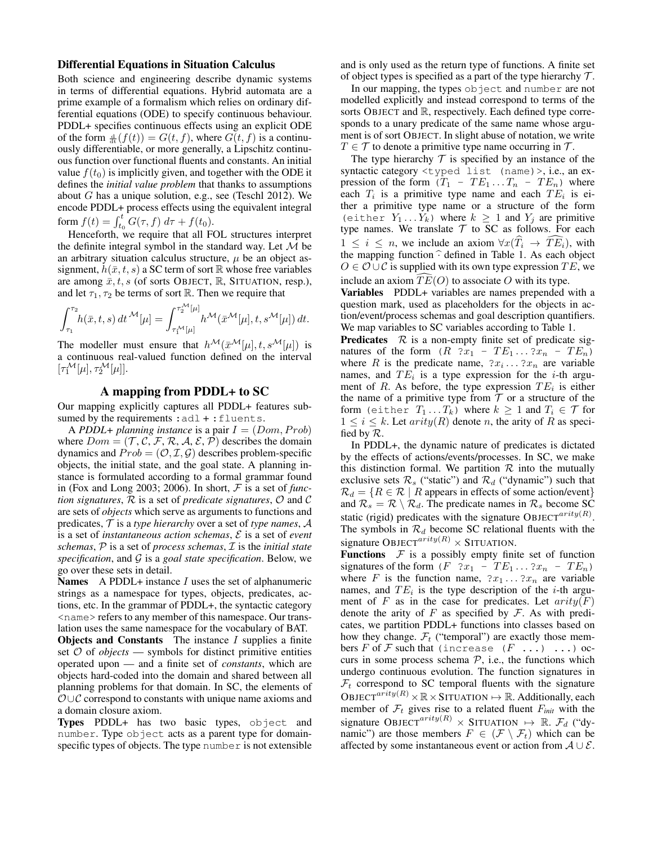### Differential Equations in Situation Calculus

Both science and engineering describe dynamic systems in terms of differential equations. Hybrid automata are a prime example of a formalism which relies on ordinary differential equations (ODE) to specify continuous behaviour. PDDL+ specifies continuous effects using an explicit ODE of the form  $\frac{d}{dt}(f(t)) = G(t, f)$ , where  $G(t, f)$  is a continuously differentiable, or more generally, a Lipschitz continuous function over functional fluents and constants. An initial value  $f(t_0)$  is implicitly given, and together with the ODE it defines the *initial value problem* that thanks to assumptions about G has a unique solution, e.g., see (Teschl 2012). We encode PDDL+ process effects using the equivalent integral form  $f(t) = \int_{t_0}^{t} G(\tau, f) \, d\tau + f(t_0)$ .

Henceforth, we require that all FOL structures interpret the definite integral symbol in the standard way. Let  $M$  be an arbitrary situation calculus structure,  $\mu$  be an object assignment,  $h(\bar{x}, t, s)$  a SC term of sort R whose free variables are among  $\bar{x}, t, s$  (of sorts OBJECT,  $\mathbb{R}$ , SITUATION, resp.), and let  $\tau_1, \tau_2$  be terms of sort R. Then we require that

$$
\int_{\tau_1}^{\tau_2} h(\bar{x},t,s) dt^{\mathcal{M}}[\mu] = \int_{\tau_1^{\mathcal{M}}[\mu]}^{\tau_2^{\mathcal{M}}[\mu]} h^{\mathcal{M}}(\bar{x}^{\mathcal{M}}[\mu],t,s^{\mathcal{M}}[\mu]) dt.
$$

The modeller must ensure that  $h^{\mathcal{M}}(\bar{x}^{\mathcal{M}}[\mu], t, s^{\mathcal{M}}[\mu])$  is a continuous real-valued function defined on the interval  $[\tau_1^{\mathcal{M}}[\mu], \tau_2^{\mathcal{M}}[\mu]].$ 

# A mapping from PDDL+ to SC

Our mapping explicitly captures all PDDL+ features subsumed by the requirements : adl + : fluents.

A *PDDL*+ *planning instance* is a pair  $I = (Dom, Prob)$ where  $Dom = (\mathcal{T}, \mathcal{C}, \mathcal{F}, \mathcal{R}, \mathcal{A}, \mathcal{E}, \mathcal{P})$  describes the domain dynamics and  $Prob = (O, \mathcal{I}, \mathcal{G})$  describes problem-specific objects, the initial state, and the goal state. A planning instance is formulated according to a formal grammar found in (Fox and Long 2003; 2006). In short, F is a set of *function signatures*, R is a set of *predicate signatures*, O and C are sets of *objects* which serve as arguments to functions and predicates, T is a *type hierarchy* over a set of *type names*, A is a set of *instantaneous action schemas*, E is a set of *event schemas*, P is a set of *process schemas*, I is the *initial state specification*, and G is a *goal state specification*. Below, we go over these sets in detail.

**Names** A PDDL+ instance  $I$  uses the set of alphanumeric strings as a namespace for types, objects, predicates, actions, etc. In the grammar of PDDL+, the syntactic category <name> refers to any member of this namespace. Our translation uses the same namespace for the vocabulary of BAT. **Objects and Constants** The instance  $I$  supplies a finite set  $O$  of *objects* — symbols for distinct primitive entities operated upon — and a finite set of *constants*, which are objects hard-coded into the domain and shared between all

planning problems for that domain. In SC, the elements of  $\mathcal{O}\cup\mathcal{C}$  correspond to constants with unique name axioms and a domain closure axiom. Types PDDL+ has two basic types, object and

number. Type object acts as a parent type for domainspecific types of objects. The type number is not extensible and is only used as the return type of functions. A finite set of object types is specified as a part of the type hierarchy  $\mathcal{T}$ .

In our mapping, the types object and number are not modelled explicitly and instead correspond to terms of the sorts OBJECT and R, respectively. Each defined type corresponds to a unary predicate of the same name whose argument is of sort OBJECT. In slight abuse of notation, we write  $T \in \mathcal{T}$  to denote a primitive type name occurring in  $\mathcal{T}$ .

The type hierarchy  $T$  is specified by an instance of the syntactic category <typed list (name) >, i.e., an expression of the form  $(T_1 - TE_1 ... T_n - TE_n)$  where each  $T_i$  is a primitive type name and each  $TE_i$  is either a primitive type name or a structure of the form (either  $Y_1 \dots Y_k$ ) where  $k \geq 1$  and  $Y_j$  are primitive type names. We translate  $T$  to SC as follows. For each  $1 \leq i \leq n$ , we include an axiom  $\forall x (\widehat{T}_i \rightarrow \widehat{TE}_i)$ , with the mapping function  $\hat{\cdot}$  defined in Table 1. As each object  $O \in \mathcal{O} \cup \mathcal{C}$  is supplied with its own type expression  $TE$ , we include an axiom  $\overline{TE}(O)$  to associate O with its type.

Variables PDDL+ variables are names prepended with a question mark, used as placeholders for the objects in action/event/process schemas and goal description quantifiers. We map variables to SC variables according to Table 1.

**Predicates**  $\mathcal{R}$  is a non-empty finite set of predicate signatures of the form  $(R \t ?x_1 - TE_1 \t . . . ?x_n - TE_n)$ where R is the predicate name,  $2x_i \dots 2x_n$  are variable names, and  $TE_i$  is a type expression for the *i*-th argument of R. As before, the type expression  $TE_i$  is either the name of a primitive type from  $T$  or a structure of the form (either  $T_1 \ldots T_k$ ) where  $k \geq 1$  and  $T_i \in \mathcal{T}$  for  $1 \leq i \leq k$ . Let  $arity(R)$  denote n, the arity of R as specified by R.

In PDDL+, the dynamic nature of predicates is dictated by the effects of actions/events/processes. In SC, we make this distinction formal. We partition  $R$  into the mutually exclusive sets  $\mathcal{R}_s$  ("static") and  $\mathcal{R}_d$  ("dynamic") such that  $\mathcal{R}_d = \{R \in \mathcal{R} \mid R \text{ appears in effects of some action/event}\}\$ and  $\mathcal{R}_s = \mathcal{R} \setminus \mathcal{R}_d$ . The predicate names in  $\mathcal{R}_s$  become SC static (rigid) predicates with the signature OBJECT<sup>arity(R)</sup>. The symbols in  $\mathcal{R}_d$  become SC relational fluents with the signature OBJECT<sup>arity(R)</sup>  $\times$  SITUATION.

**Functions**  $\mathcal F$  is a possibly empty finite set of function signatures of the form  $(F \cdot 2x_1 - TE_1 \dots 2x_n - TE_n)$ where F is the function name,  $2x_1 \ldots 2x_n$  are variable names, and  $TE_i$  is the type description of the *i*-th argument of  $F$  as in the case for predicates. Let  $arity(F)$ denote the arity of F as specified by  $\mathcal F$ . As with predicates, we partition PDDL+ functions into classes based on how they change.  $\mathcal{F}_t$  ("temporal") are exactly those members F of F such that (increase  $(F \ldots) \ldots$ ) occurs in some process schema  $P$ , i.e., the functions which undergo continuous evolution. The function signatures in  $\mathcal{F}_t$  correspond to SC temporal fluents with the signature OBJECT<sup>arity(R)</sup>  $\times \mathbb{R} \times$  SITUATION  $\mapsto \mathbb{R}$ . Additionally, each member of  $\mathcal{F}_t$  gives rise to a related fluent  $F_{init}$  with the signature OBJECT<sup>arity(R)</sup>  $\times$  SITUATION  $\mapsto \mathbb{R}$ .  $\mathcal{F}_d$  ("dynamic") are those members  $F \in (\mathcal{F} \setminus \mathcal{F}_t)$  which can be affected by some instantaneous event or action from  $A \cup E$ .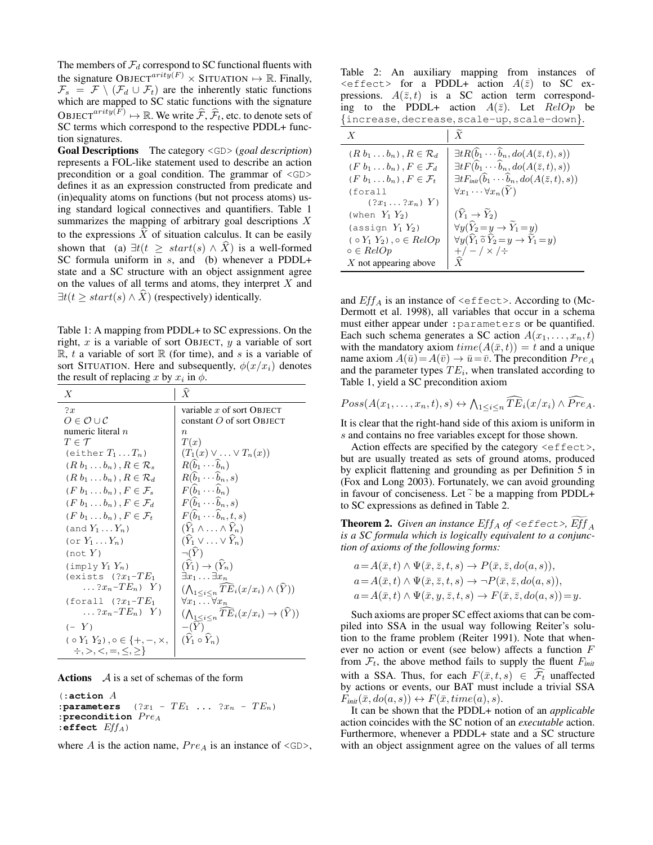The members of  $\mathcal{F}_d$  correspond to SC functional fluents with the signature OBJECT<sup>arity</sub> $(F) \times$  SITUATION  $\mapsto \mathbb{R}$ . Finally,</sup>  $\mathcal{F}_s = \mathcal{F} \setminus (\mathcal{F}_d \cup \mathcal{F}_t)$  are the inherently static functions which are mapped to SC static functions with the signature OBJECT<sup>arity(F)</sup>  $\mapsto \mathbb{R}$ . We write  $\widehat{\mathcal{F}}, \widehat{\mathcal{F}}_t$ , etc. to denote sets of SC terms which correspond to the respective PDDL+ function signatures.

Goal Descriptions The category <GD> (*goal description*) represents a FOL-like statement used to describe an action precondition or a goal condition. The grammar of <GD> defines it as an expression constructed from predicate and (in)equality atoms on functions (but not process atoms) using standard logical connectives and quantifiers. Table 1 summarizes the mapping of arbitrary goal descriptions  $X$ to the expressions  $\overline{X}$  of situation calculus. It can be easily shown that (a)  $\exists t(t \geq start(s) \land X)$  is a well-formed SC formula uniform in s, and (b) whenever a PDDL+ state and a SC structure with an object assignment agree on the values of all terms and atoms, they interpret  $X$  and  $\exists t(t \geq start(s) \land \overline{X})$  (respectively) identically.

Table 1: A mapping from PDDL+ to SC expressions. On the right,  $x$  is a variable of sort OBJECT,  $y$  a variable of sort  $\mathbb{R}$ , t a variable of sort  $\mathbb{R}$  (for time), and s is a variable of sort SITUATION. Here and subsequently,  $\phi(x/x_i)$  denotes the result of replacing x by  $x_i$  in  $\phi$ .

| X                                                | $\widehat{X}$                                                                |
|--------------------------------------------------|------------------------------------------------------------------------------|
| 2x                                               | variable $x$ of sort OBJECT                                                  |
| $O \in \mathcal{O} \cup \mathcal{C}$             | constant $O$ of sort OBJECT                                                  |
| numeric literal $n$                              | n                                                                            |
| $T \in \mathcal{T}$                              | T(x)                                                                         |
| (either $T_1 \ldots T_n$ )                       | $(T_1(x) \vee \ldots \vee T_n(x))$                                           |
| $(R b_1 \ldots b_n), R \in \mathcal{R}_s$        | $R(b_1 \cdots b_n)$                                                          |
| $(R b_1 \ldots b_n)$ , $R \in \mathcal{R}_d$     | $R(\tilde{b}_1 \cdots \tilde{b}_n, s)$                                       |
| $(F b_1 \ldots b_n)$ , $F \in \mathcal{F}_s$     | $F(\widehat{b}_1 \cdots \widehat{b}_n)$                                      |
| $(F b_1 \ldots b_n)$ , $F \in \mathcal{F}_d$     | $F(b_1 \cdots b_n, s)$                                                       |
| $(F b_1 \ldots b_n)$ . $F \in \mathcal{F}_t$     | $F(\widehat{b}_1 \cdots \widehat{b}_n, t, s)$                                |
| (and $Y_1 \ldots Y_n$ )                          | $(Y_1 \wedge \ldots \wedge \hat{Y}_n)$                                       |
| $(\circ r Y_1 \dots Y_n)$                        | $(Y_1 \vee \ldots \vee Y_n)$                                                 |
| (not $Y$ )                                       | $\neg(\hat{Y})$                                                              |
| $(\text{imply } Y_1 Y_n)$                        | $(Y_1) \rightarrow (Y_n)$                                                    |
| (exists $(?x_1-TE_1)$                            | $\exists x_1 \dots \exists x_n$                                              |
| $\ldots$ ? $x_n$ - $TE_n$ ) $Y$ )                | $(\bigwedge_{1 \leq i \leq n} T \overline{E}_i(x/x_i) \wedge (\widehat{Y}))$ |
| (forall $(?x_1-TE_1)$                            | $\forall x_1 \dots \forall x_n$                                              |
| $\ldots$ ? $x_n$ - $TE_n$ ) $Y$ )                | $(\bigwedge_{1\leq i\leq n} T\overline{E}_i(x/x_i)\to (\widehat{Y}))$        |
| $(-Y)$                                           | $-(Y)$                                                                       |
| $( \circ Y_1 Y_2), \circ \in \{+, -, \times, \}$ | $(\widehat{Y}_1 \circ \widehat{Y}_n)$                                        |
| $\div, >, <, =, <, >$                            |                                                                              |

Actions  $\mathcal A$  is a set of schemas of the form

(:**action** A  $:$  parameters  $(?x_1 - TE_1 ... ?x_n - TE_n)$ : precondition  $Pre_A$ :**effect** EffA)

where A is the action name,  $Pre_A$  is an instance of  $\langle$ GD>,

Table 2: An auxiliary mapping from instances of  $\leq$  effect> for a PDDL+ action  $A(\bar{z})$  to SC expressions.  $A(\bar{z}, t)$  is a SC action term corresponding to the PDDL+ action  $A(\bar{z})$ . Let  $RelOp$  be {increase, decrease, scale-up, scale-down}.

| $\boldsymbol{X}$                              | $\boldsymbol{X}$                                                                        |
|-----------------------------------------------|-----------------------------------------------------------------------------------------|
| $(R b_1 \ldots b_n)$ , $R \in \mathcal{R}_d$  | $\exists t R(\widehat{b}_1 \cdots \widehat{b}_n, do(A(\bar{z},t),s))$                   |
| $(F b_1 \ldots b_n)$ , $F \in \mathcal{F}_d$  | $\exists t F(\widehat{b}_1 \cdots \widehat{b}_n, do(A(\overline{z},t),s))$              |
| $(F b_1 \ldots b_n)$ , $F \in \mathcal{F}_t$  | $\exists t F_{init}(\widehat{b}_1 \cdots \widehat{b}_n, do(A(\overline{z},t),s))$       |
| (forall                                       | $\forall x_1 \cdots \forall x_n(Y)$                                                     |
| $(?x_1?x_n) Y$                                |                                                                                         |
| (when $Y_1$ $Y_2$ )                           | $(\hat{Y}_1 \rightarrow Y_2)$                                                           |
| (assign $Y_1$ $Y_2$ )                         | $\forall y (\widehat{Y}_2 = y \rightarrow \widetilde{Y}_1 = y)$                         |
| $\varphi \circ Y_1 Y_2$ , $\varphi \in RelOp$ | $\forall y (\widehat{Y}_1 \widetilde{\circ} \widehat{Y}_2 = y \to \widetilde{Y}_1 = y)$ |
| $\circ \in RelOp$                             | $+/-$ / $\times$ / $\div$                                                               |
| $X$ not appearing above                       |                                                                                         |

and  $Eff_A$  is an instance of  $\leq$  ffect>. According to (Mc-Dermott et al. 1998), all variables that occur in a schema must either appear under :parameters or be quantified. Each such schema generates a SC action  $A(x_1, \ldots, x_n, t)$ with the mandatory axiom  $time(A(\bar{x}, t)) = t$  and a unique name axiom  $A(\bar{u})=A(\bar{v}) \rightarrow \bar{u}=\bar{v}$ . The precondition  $Pre_A$ and the parameter types  $TE_i$ , when translated according to Table 1, yield a SC precondition axiom

$$
Poss(A(x_1,\ldots,x_n,t),s) \leftrightarrow \bigwedge_{1\leq i\leq n} \widehat{TE}_i(x/x_i) \wedge \widehat{Pre}_A.
$$

It is clear that the right-hand side of this axiom is uniform in s and contains no free variables except for those shown.

Action effects are specified by the category  $\leq$  effect>, but are usually treated as sets of ground atoms, produced by explicit flattening and grounding as per Definition 5 in (Fox and Long 2003). Fortunately, we can avoid grounding in favour of conciseness. Let  $\widetilde{\cdot}$  be a mapping from PDDL+ to SC expressions as defined in Table 2.

**Theorem 2.** *Given an instance*  $Eff_A$  *of*  $\leq$   $Eff$   $\leq$   $Eff_A$ *is a SC formula which is logically equivalent to a conjunction of axioms of the following forms:*

$$
a = A(\bar{x}, t) \land \Psi(\bar{x}, \bar{z}, t, s) \rightarrow P(\bar{x}, \bar{z}, do(a, s)),
$$
  
\n
$$
a = A(\bar{x}, t) \land \Psi(\bar{x}, \bar{z}, t, s) \rightarrow \neg P(\bar{x}, \bar{z}, do(a, s)),
$$
  
\n
$$
a = A(\bar{x}, t) \land \Psi(\bar{x}, y, \bar{z}, t, s) \rightarrow F(\bar{x}, \bar{z}, do(a, s)) = y.
$$

Such axioms are proper SC effect axioms that can be compiled into SSA in the usual way following Reiter's solution to the frame problem (Reiter 1991). Note that whenever no action or event (see below) affects a function F from  $\mathcal{F}_t$ , the above method fails to supply the fluent  $F_{init}$ with a SSA. Thus, for each  $F(\bar{x}, t, s) \in \widehat{\mathcal{F}_t}$  unaffected by actions or events, our BAT must include a trivial SSA  $F_{init}(\bar{x}, do(a, s)) \leftrightarrow F(\bar{x}, time(a), s).$ 

It can be shown that the PDDL+ notion of an *applicable* action coincides with the SC notion of an *executable* action. Furthermore, whenever a PDDL+ state and a SC structure with an object assignment agree on the values of all terms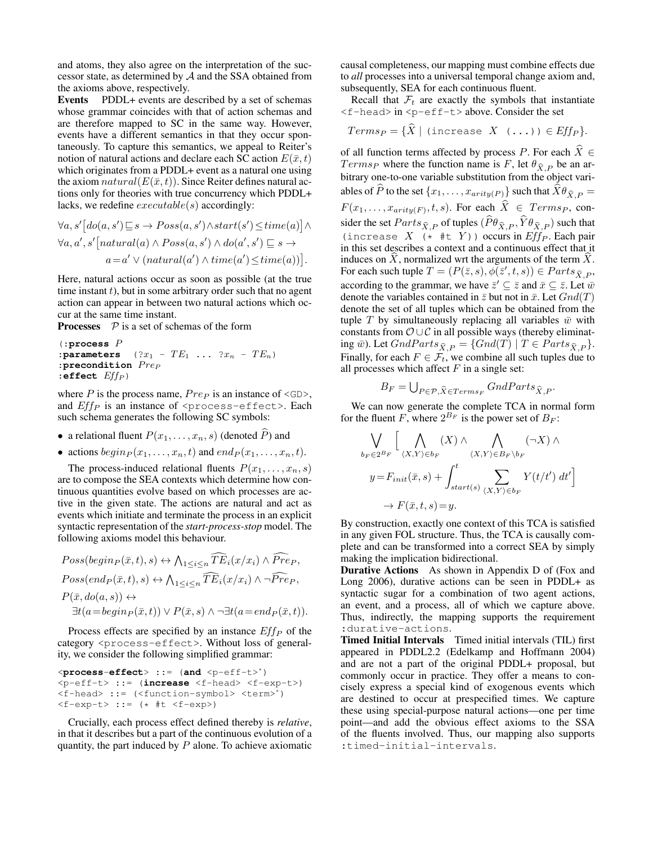and atoms, they also agree on the interpretation of the successor state, as determined by A and the SSA obtained from the axioms above, respectively.

Events PDDL+ events are described by a set of schemas whose grammar coincides with that of action schemas and are therefore mapped to SC in the same way. However, events have a different semantics in that they occur spontaneously. To capture this semantics, we appeal to Reiter's notion of natural actions and declare each SC action  $E(\bar{x}, t)$ which originates from a PDDL+ event as a natural one using the axiom  $natural(E(\bar{x}, t))$ . Since Reiter defines natural actions only for theories with true concurrency which PDDL+ lacks, we redefine  $execute(s)$  accordingly:

$$
\forall a, s' [do(a, s') \sqsubseteq s \rightarrow Poss(a, s') \land start(s') \leq time(a)] \land \n\forall a, a', s' [natural(a) \land Poss(a, s') \land do(a', s') \sqsubseteq s \rightarrow a = a' \lor (natural(a') \land time(a') \leq time(a))].
$$

Here, natural actions occur as soon as possible (at the true time instant  $t$ ), but in some arbitrary order such that no agent action can appear in between two natural actions which occur at the same time instant.

**Processes**  $P$  is a set of schemas of the form

```
(:process P
:parameters \quad (?x_1 - TE_1 \ldots ?x_n - TE_n):precondition Pre_P:effect Eff_P )
```
where  $P$  is the process name,  $Pre_P$  is an instance of  $\langle$ GD>, and  $Eff_P$  is an instance of  $<$ process-effect>. Each such schema generates the following SC symbols:

- a relational fluent  $P(x_1, \ldots, x_n, s)$  (denoted  $\widehat{P}$ ) and
- actions  $begin P(x_1, \ldots, x_n, t)$  and  $end_P (x_1, \ldots, x_n, t)$ .

The process-induced relational fluents  $P(x_1, \ldots, x_n, s)$ are to compose the SEA contexts which determine how continuous quantities evolve based on which processes are active in the given state. The actions are natural and act as events which initiate and terminate the process in an explicit syntactic representation of the *start-process-stop* model. The following axioms model this behaviour.

$$
Poss(begin_{\bar{x}},t),s) \leftrightarrow \bigwedge_{1 \leq i \leq n} \widehat{TE}_i(x/x_i) \wedge \widehat{Pre}_P,
$$
  
\n
$$
Poss(end_P(\bar{x},t),s) \leftrightarrow \bigwedge_{1 \leq i \leq n} \widehat{TE}_i(x/x_i) \wedge \neg \widehat{Pre}_P,
$$
  
\n
$$
P(\bar{x},do(a,s)) \leftrightarrow
$$
  
\n
$$
\exists t(a=begin_{\bar{x}},t)) \vee P(\bar{x},s) \wedge \neg \exists t(a=end_P(\bar{x},t)).
$$

Process effects are specified by an instance  $Eff_P$  of the category <process-effect>. Without loss of generality, we consider the following simplified grammar:

<**process**-**effect**> ::= (**and** <p-eff-t>\*) <p-eff-t> ::= (**increase** <f-head> <f-exp-t>) <f-head> ::= (<function-symbol> <term>\*)  $<$ f-exp-t> ::= (\* #t  $<$ f-exp>)

Crucially, each process effect defined thereby is *relative*, in that it describes but a part of the continuous evolution of a quantity, the part induced by  $P$  alone. To achieve axiomatic

causal completeness, our mapping must combine effects due to *all* processes into a universal temporal change axiom and, subsequently, SEA for each continuous fluent.

Recall that  $\mathcal{F}_t$  are exactly the symbols that instantiate <f-head> in <p-eff-t> above. Consider the set

$$
Terms_P = \{ X \mid (increase \ X \ (\dots)) \in Eff_P \}.
$$

of all function terms affected by process P. For each  $\hat{X} \in$  $Terms<sub>P</sub>$  where the function name is F, let  $\theta_{\hat{X},P}$  be an arbitrary one-to-one variable substitution from the object variables of P to the set  $\{x_1, \ldots, x_{arity(P)}\}$  such that  $X\theta_{\widehat{X},P} =$  $F(x_1, \ldots, x_{arity(F)}, t, s)$ . For each  $X \in \mathcal{I} terms_P$ , consider the set  $Parts_{\hat{X},P}$  of tuples  $(P\theta_{\hat{X},P}, Y\theta_{\hat{X},P})$  such that (increase  $X \xrightarrow{\alpha, i} (* \#t Y)$ ) occurs in  $Eff_P$ . Each pair in this set describes a context and a continuous effect that it induces on  $\hat{X}$ , normalized wrt the arguments of the term  $X$ . For each such tuple  $T = (P(\bar{z}, s), \phi(\bar{z}', t, s)) \in Parts_{\hat{X}, P}$ according to the grammar, we have  $\bar{z}' \subseteq \bar{z}$  and  $\bar{x} \subseteq \bar{z}$ . Let  $\bar{w}$ denote the variables contained in  $\bar{z}$  but not in  $\bar{x}$ . Let  $Gnd(T)$ denote the set of all tuples which can be obtained from the tuple T by simultaneously replacing all variables  $\bar{w}$  with constants from  $\mathcal{O} \cup \mathcal{C}$  in all possible ways (thereby eliminating  $\bar{w}$ ). Let  $GndParts_{\hat{X},P} = {Gnd(T) | T \in Parts_{\hat{X},P}}.$ Finally, for each  $F \in \mathcal{F}_t$ , we combine all such tuples due to all processes which affect  $F$  in a single set:

$$
B_F = \bigcup_{P \in \mathcal{P}, \hat{X} \in Terms_F} GndParts_{\hat{X},P}.
$$

We can now generate the complete TCA in normal form for the fluent F, where  $2^{B_F}$  is the power set of  $B_F$ :

$$
\bigvee_{b_F \in 2^{B_F}} \Big[ \bigwedge_{\langle X, Y \rangle \in b_F} (X) \wedge \bigwedge_{\langle X, Y \rangle \in B_F \setminus b_F} (\neg X) \wedge
$$
  

$$
y = F_{init}(\bar{x}, s) + \int_{start(s)}^t \sum_{\langle X, Y \rangle \in b_F} Y(t/t') dt' \Big]
$$
  

$$
\rightarrow F(\bar{x}, t, s) = y.
$$

By construction, exactly one context of this TCA is satisfied in any given FOL structure. Thus, the TCA is causally complete and can be transformed into a correct SEA by simply making the implication bidirectional.

Durative Actions As shown in Appendix D of (Fox and Long 2006), durative actions can be seen in PDDL+ as syntactic sugar for a combination of two agent actions, an event, and a process, all of which we capture above. Thus, indirectly, the mapping supports the requirement :durative-actions.

Timed Initial Intervals Timed initial intervals (TIL) first appeared in PDDL2.2 (Edelkamp and Hoffmann 2004) and are not a part of the original PDDL+ proposal, but commonly occur in practice. They offer a means to concisely express a special kind of exogenous events which are destined to occur at prespecified times. We capture these using special-purpose natural actions—one per time point—and add the obvious effect axioms to the SSA of the fluents involved. Thus, our mapping also supports :timed-initial-intervals.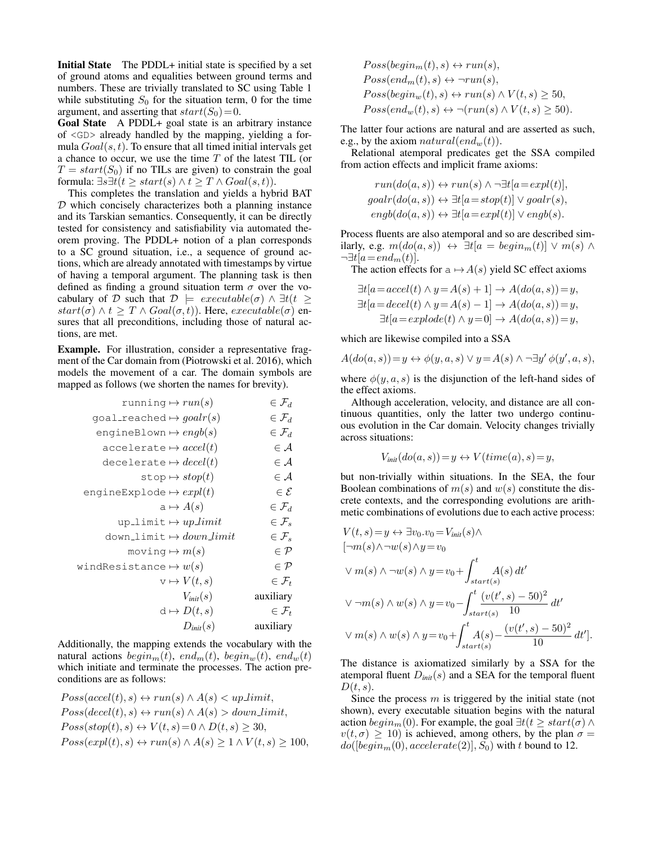Initial State The PDDL+ initial state is specified by a set of ground atoms and equalities between ground terms and numbers. These are trivially translated to SC using Table 1 while substituting  $S_0$  for the situation term, 0 for the time argument, and asserting that  $start(S_0)=0$ .

Goal State A PDDL+ goal state is an arbitrary instance of <GD> already handled by the mapping, yielding a formula  $Goal(s, t)$ . To ensure that all timed initial intervals get a chance to occur, we use the time  $T$  of the latest TIL (or  $T = start(S<sub>0</sub>)$  if no TILs are given) to constrain the goal formula:  $\exists s \exists t (t \geq start(s) \land t \geq T \land Goal(s, t)).$ 

This completes the translation and yields a hybrid BAT  $D$  which concisely characterizes both a planning instance and its Tarskian semantics. Consequently, it can be directly tested for consistency and satisfiability via automated theorem proving. The PDDL+ notion of a plan corresponds to a SC ground situation, i.e., a sequence of ground actions, which are already annotated with timestamps by virtue of having a temporal argument. The planning task is then defined as finding a ground situation term  $\sigma$  over the vocabulary of D such that  $D \models \text{execute}(\sigma) \land \exists t(t \geq$  $start(\sigma) \wedge t \geq T \wedge Goal(\sigma, t)$ . Here,  $execute(\sigma)$  ensures that all preconditions, including those of natural actions, are met.

Example. For illustration, consider a representative fragment of the Car domain from (Piotrowski et al. 2016), which models the movement of a car. The domain symbols are mapped as follows (we shorten the names for brevity).

$$
\begin{array}{ll}\n\text{running} \leftrightarrow run(s) & \in \mathcal{F}_d \\
\text{goal\_reached} \leftrightarrow goal(r(s) & \in \mathcal{F}_d \\
\text{engineBlown} \leftrightarrow engb(s) & \in \mathcal{F}_d \\
\text{accelerate} \leftrightarrow accel(t) & \in \mathcal{A} \\
\text{decelerate} \leftrightarrow decel(t) & \in \mathcal{A} \\
\text{stop} \leftrightarrow stop(t) & \in \mathcal{A} \\
\text{engineExplode} \leftrightarrow expl(t) & \in \mathcal{E} \\
\text{a} \leftrightarrow A(s) & \in \mathcal{F}_d \\
\text{up\_limit} \leftrightarrow up\_limit & \in \mathcal{F}_s \\
\text{down\_limit} \leftrightarrow down\_limit & \in \mathcal{F}_s \\
\text{moving} \leftrightarrow m(s) & \in \mathcal{P} \\
\text{windResistance} \leftrightarrow w(s) & \in \mathcal{P} \\
\text{v} \leftrightarrow V(t, s) & \in \mathcal{F}_t \\
V_{init}(s) & \text{auxiliary} \\
\text{d} \leftrightarrow D(t, s) & \text{auxiliary}\n\end{array}
$$

Additionally, the mapping extends the vocabulary with the natural actions  $begin_m(t)$ , end<sub>m</sub>(t), begin<sub>w</sub>(t), end<sub>w</sub>(t) which initiate and terminate the processes. The action preconditions are as follows:

$$
Poss(accel(t), s) \leftrightarrow run(s) \land A(s) < up-limit,
$$
\n
$$
Poss(decel(t), s) \leftrightarrow run(s) \land A(s) > down-limit,
$$
\n
$$
Poss(stop(t), s) \leftrightarrow V(t, s) = 0 \land D(t, s) \geq 30,
$$
\n
$$
Poss(expl(t), s) \leftrightarrow run(s) \land A(s) \geq 1 \land V(t, s) \geq 100,
$$

$$
Poss(begin_m(t), s) \leftrightarrow run(s),
$$
  
\n
$$
Poss(end_m(t), s) \leftrightarrow \neg run(s),
$$
  
\n
$$
Poss(begin_m(t), s) \leftrightarrow run(s) \land V(t, s) \ge 50,
$$
  
\n
$$
Poss(end_w(t), s) \leftrightarrow \neg (run(s) \land V(t, s) \ge 50).
$$

The latter four actions are natural and are asserted as such, e.g., by the axiom  $natural(end_w(t))$ .

Relational atemporal predicates get the SSA compiled from action effects and implicit frame axioms:

$$
run(do(a, s)) \leftrightarrow run(s) \land \neg \exists t[a=expl(t)],
$$
  
goalr(do(a, s)) \leftrightarrow \exists t[a=stop(t)] \lor goalr(s),  

$$
engb(do(a, s)) \leftrightarrow \exists t[a=expl(t)] \lor engb(s).
$$

Process fluents are also atemporal and so are described similarly, e.g.  $m(do(a, s)) \leftrightarrow \exists t [a = begin_m(t)] \vee m(s) \wedge$  $\neg \exists t [a=end_m(t)].$ 

The action effects for  $a \mapsto A(s)$  yield SC effect axioms

$$
\exists t[a=accel(t) \land y=A(s)+1] \rightarrow A(do(a,s))=y,
$$
  

$$
\exists t[a=decel(t) \land y=A(s)-1] \rightarrow A(do(a,s))=y,
$$
  

$$
\exists t[a=explode(t) \land y=0] \rightarrow A(do(a,s))=y,
$$

which are likewise compiled into a SSA

$$
A(do(a, s)) = y \leftrightarrow \phi(y, a, s) \lor y = A(s) \land \neg \exists y' \phi(y', a, s),
$$

where  $\phi(y, a, s)$  is the disjunction of the left-hand sides of the effect axioms.

Although acceleration, velocity, and distance are all continuous quantities, only the latter two undergo continuous evolution in the Car domain. Velocity changes trivially across situations:

$$
V_{init}(do(a, s)) = y \leftrightarrow V(time(a), s) = y,
$$

but non-trivially within situations. In the SEA, the four Boolean combinations of  $m(s)$  and  $w(s)$  constitute the discrete contexts, and the corresponding evolutions are arithmetic combinations of evolutions due to each active process:

$$
V(t,s) = y \leftrightarrow \exists v_0 \ldots v_0 = V_{init}(s) \land
$$
  
\n
$$
[\neg m(s) \land \neg w(s) \land y = v_0
$$
  
\n
$$
\lor m(s) \land \neg w(s) \land y = v_0 + \int_{start(s)}^t A(s) dt'
$$
  
\n
$$
\lor \neg m(s) \land w(s) \land y = v_0 - \int_{start(s)}^t \frac{(v(t', s) - 50)^2}{10} dt'
$$
  
\n
$$
\lor m(s) \land w(s) \land y = v_0 + \int_{start(s)}^t A(s) - \frac{(v(t', s) - 50)^2}{10} dt'].
$$

The distance is axiomatized similarly by a SSA for the atemporal fluent  $D_{init}(s)$  and a SEA for the temporal fluent  $D(t, s)$ .

Since the process  $m$  is triggered by the initial state (not shown), every executable situation begins with the natural action  $begin(m)$ . For example, the goal  $\exists t(t \geq start(\sigma) \land$  $v(t, \sigma) \ge 10$ ) is achieved, among others, by the plan  $\sigma =$  $do([begin_m(0), accelerate(2)], S_0)$  with t bound to 12.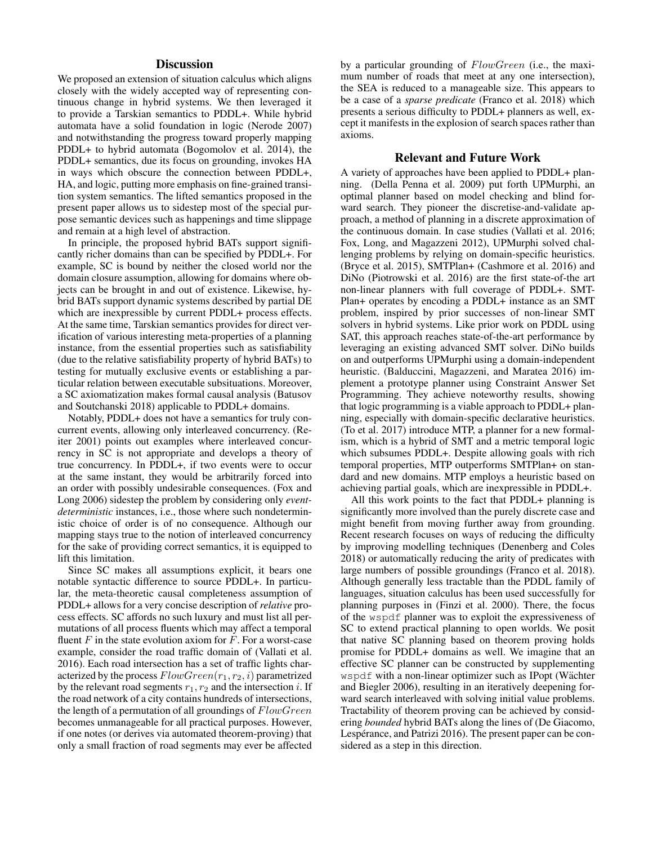# **Discussion**

We proposed an extension of situation calculus which aligns closely with the widely accepted way of representing continuous change in hybrid systems. We then leveraged it to provide a Tarskian semantics to PDDL+. While hybrid automata have a solid foundation in logic (Nerode 2007) and notwithstanding the progress toward properly mapping PDDL+ to hybrid automata (Bogomolov et al. 2014), the PDDL+ semantics, due its focus on grounding, invokes HA in ways which obscure the connection between PDDL+, HA, and logic, putting more emphasis on fine-grained transition system semantics. The lifted semantics proposed in the present paper allows us to sidestep most of the special purpose semantic devices such as happenings and time slippage and remain at a high level of abstraction.

In principle, the proposed hybrid BATs support significantly richer domains than can be specified by PDDL+. For example, SC is bound by neither the closed world nor the domain closure assumption, allowing for domains where objects can be brought in and out of existence. Likewise, hybrid BATs support dynamic systems described by partial DE which are inexpressible by current PDDL+ process effects. At the same time, Tarskian semantics provides for direct verification of various interesting meta-properties of a planning instance, from the essential properties such as satisfiability (due to the relative satisfiability property of hybrid BATs) to testing for mutually exclusive events or establishing a particular relation between executable subsituations. Moreover, a SC axiomatization makes formal causal analysis (Batusov and Soutchanski 2018) applicable to PDDL+ domains.

Notably, PDDL+ does not have a semantics for truly concurrent events, allowing only interleaved concurrency. (Reiter 2001) points out examples where interleaved concurrency in SC is not appropriate and develops a theory of true concurrency. In PDDL+, if two events were to occur at the same instant, they would be arbitrarily forced into an order with possibly undesirable consequences. (Fox and Long 2006) sidestep the problem by considering only *eventdeterministic* instances, i.e., those where such nondeterministic choice of order is of no consequence. Although our mapping stays true to the notion of interleaved concurrency for the sake of providing correct semantics, it is equipped to lift this limitation.

Since SC makes all assumptions explicit, it bears one notable syntactic difference to source PDDL+. In particular, the meta-theoretic causal completeness assumption of PDDL+ allows for a very concise description of *relative* process effects. SC affords no such luxury and must list all permutations of all process fluents which may affect a temporal fluent  $F$  in the state evolution axiom for  $F$ . For a worst-case example, consider the road traffic domain of (Vallati et al. 2016). Each road intersection has a set of traffic lights characterized by the process  $FlowGreen(r_1, r_2, i)$  parametrized by the relevant road segments  $r_1, r_2$  and the intersection i. If the road network of a city contains hundreds of intersections, the length of a permutation of all groundings of  $FlowGreen$ becomes unmanageable for all practical purposes. However, if one notes (or derives via automated theorem-proving) that only a small fraction of road segments may ever be affected by a particular grounding of FlowGreen (i.e., the maximum number of roads that meet at any one intersection), the SEA is reduced to a manageable size. This appears to be a case of a *sparse predicate* (Franco et al. 2018) which presents a serious difficulty to PDDL+ planners as well, except it manifests in the explosion of search spaces rather than axioms.

# Relevant and Future Work

A variety of approaches have been applied to PDDL+ planning. (Della Penna et al. 2009) put forth UPMurphi, an optimal planner based on model checking and blind forward search. They pioneer the discretise-and-validate approach, a method of planning in a discrete approximation of the continuous domain. In case studies (Vallati et al. 2016; Fox, Long, and Magazzeni 2012), UPMurphi solved challenging problems by relying on domain-specific heuristics. (Bryce et al. 2015), SMTPlan+ (Cashmore et al. 2016) and DiNo (Piotrowski et al. 2016) are the first state-of-the art non-linear planners with full coverage of PDDL+. SMT-Plan+ operates by encoding a PDDL+ instance as an SMT problem, inspired by prior successes of non-linear SMT solvers in hybrid systems. Like prior work on PDDL using SAT, this approach reaches state-of-the-art performance by leveraging an existing advanced SMT solver. DiNo builds on and outperforms UPMurphi using a domain-independent heuristic. (Balduccini, Magazzeni, and Maratea 2016) implement a prototype planner using Constraint Answer Set Programming. They achieve noteworthy results, showing that logic programming is a viable approach to PDDL+ planning, especially with domain-specific declarative heuristics. (To et al. 2017) introduce MTP, a planner for a new formalism, which is a hybrid of SMT and a metric temporal logic which subsumes PDDL+. Despite allowing goals with rich temporal properties, MTP outperforms SMTPlan+ on standard and new domains. MTP employs a heuristic based on achieving partial goals, which are inexpressible in PDDL+.

All this work points to the fact that PDDL+ planning is significantly more involved than the purely discrete case and might benefit from moving further away from grounding. Recent research focuses on ways of reducing the difficulty by improving modelling techniques (Denenberg and Coles 2018) or automatically reducing the arity of predicates with large numbers of possible groundings (Franco et al. 2018). Although generally less tractable than the PDDL family of languages, situation calculus has been used successfully for planning purposes in (Finzi et al. 2000). There, the focus of the wspdf planner was to exploit the expressiveness of SC to extend practical planning to open worlds. We posit that native SC planning based on theorem proving holds promise for PDDL+ domains as well. We imagine that an effective SC planner can be constructed by supplementing wspdf with a non-linear optimizer such as IPopt (Wächter and Biegler 2006), resulting in an iteratively deepening forward search interleaved with solving initial value problems. Tractability of theorem proving can be achieved by considering *bounded* hybrid BATs along the lines of (De Giacomo, Lespérance, and Patrizi 2016). The present paper can be considered as a step in this direction.